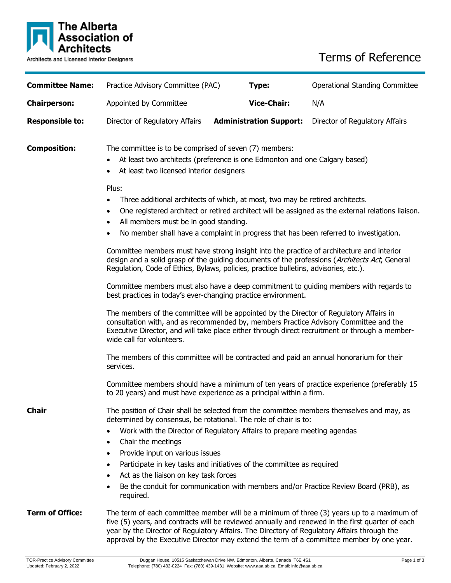

# Terms of Reference

| <b>Committee Name:</b>                                                                                                                                                        | Practice Advisory Committee (PAC)                                                                                                                                                                                                                                                                                                                                                                                                                                                                                                                                                                                                                                                                                                                                                                                                                                                                                                                                                                                                  | Type:                                                                                                                                                                                                                                                                              | <b>Operational Standing Committee</b>                                                |
|-------------------------------------------------------------------------------------------------------------------------------------------------------------------------------|------------------------------------------------------------------------------------------------------------------------------------------------------------------------------------------------------------------------------------------------------------------------------------------------------------------------------------------------------------------------------------------------------------------------------------------------------------------------------------------------------------------------------------------------------------------------------------------------------------------------------------------------------------------------------------------------------------------------------------------------------------------------------------------------------------------------------------------------------------------------------------------------------------------------------------------------------------------------------------------------------------------------------------|------------------------------------------------------------------------------------------------------------------------------------------------------------------------------------------------------------------------------------------------------------------------------------|--------------------------------------------------------------------------------------|
| <b>Chairperson:</b>                                                                                                                                                           | Appointed by Committee                                                                                                                                                                                                                                                                                                                                                                                                                                                                                                                                                                                                                                                                                                                                                                                                                                                                                                                                                                                                             | <b>Vice-Chair:</b>                                                                                                                                                                                                                                                                 | N/A                                                                                  |
| <b>Responsible to:</b>                                                                                                                                                        | Director of Regulatory Affairs                                                                                                                                                                                                                                                                                                                                                                                                                                                                                                                                                                                                                                                                                                                                                                                                                                                                                                                                                                                                     | <b>Administration Support:</b>                                                                                                                                                                                                                                                     | Director of Regulatory Affairs                                                       |
| <b>Composition:</b>                                                                                                                                                           | The committee is to be comprised of seven (7) members:<br>At least two architects (preference is one Edmonton and one Calgary based)<br>$\bullet$<br>At least two licensed interior designers<br>Plus:<br>Three additional architects of which, at most, two may be retired architects.<br>$\bullet$<br>One registered architect or retired architect will be assigned as the external relations liaison.<br>$\bullet$<br>All members must be in good standing.<br>$\bullet$<br>No member shall have a complaint in progress that has been referred to investigation.<br>$\bullet$<br>Committee members must have strong insight into the practice of architecture and interior<br>design and a solid grasp of the guiding documents of the professions (Architects Act, General<br>Regulation, Code of Ethics, Bylaws, policies, practice bulletins, advisories, etc.).<br>Committee members must also have a deep commitment to guiding members with regards to<br>best practices in today's ever-changing practice environment. |                                                                                                                                                                                                                                                                                    |                                                                                      |
|                                                                                                                                                                               |                                                                                                                                                                                                                                                                                                                                                                                                                                                                                                                                                                                                                                                                                                                                                                                                                                                                                                                                                                                                                                    |                                                                                                                                                                                                                                                                                    |                                                                                      |
|                                                                                                                                                                               |                                                                                                                                                                                                                                                                                                                                                                                                                                                                                                                                                                                                                                                                                                                                                                                                                                                                                                                                                                                                                                    |                                                                                                                                                                                                                                                                                    |                                                                                      |
|                                                                                                                                                                               |                                                                                                                                                                                                                                                                                                                                                                                                                                                                                                                                                                                                                                                                                                                                                                                                                                                                                                                                                                                                                                    |                                                                                                                                                                                                                                                                                    |                                                                                      |
|                                                                                                                                                                               | wide call for volunteers.                                                                                                                                                                                                                                                                                                                                                                                                                                                                                                                                                                                                                                                                                                                                                                                                                                                                                                                                                                                                          | The members of the committee will be appointed by the Director of Regulatory Affairs in<br>consultation with, and as recommended by, members Practice Advisory Committee and the<br>Executive Director, and will take place either through direct recruitment or through a member- |                                                                                      |
|                                                                                                                                                                               | The members of this committee will be contracted and paid an annual honorarium for their<br>services.                                                                                                                                                                                                                                                                                                                                                                                                                                                                                                                                                                                                                                                                                                                                                                                                                                                                                                                              |                                                                                                                                                                                                                                                                                    |                                                                                      |
|                                                                                                                                                                               | Committee members should have a minimum of ten years of practice experience (preferably 15<br>to 20 years) and must have experience as a principal within a firm.                                                                                                                                                                                                                                                                                                                                                                                                                                                                                                                                                                                                                                                                                                                                                                                                                                                                  |                                                                                                                                                                                                                                                                                    |                                                                                      |
| The position of Chair shall be selected from the committee members themselves and may, as<br><b>Chair</b><br>determined by consensus, be rotational. The role of chair is to: |                                                                                                                                                                                                                                                                                                                                                                                                                                                                                                                                                                                                                                                                                                                                                                                                                                                                                                                                                                                                                                    |                                                                                                                                                                                                                                                                                    |                                                                                      |
|                                                                                                                                                                               | Work with the Director of Regulatory Affairs to prepare meeting agendas<br>$\bullet$<br>Chair the meetings<br>$\bullet$                                                                                                                                                                                                                                                                                                                                                                                                                                                                                                                                                                                                                                                                                                                                                                                                                                                                                                            |                                                                                                                                                                                                                                                                                    |                                                                                      |
|                                                                                                                                                                               | Provide input on various issues<br>$\bullet$<br>$\bullet$<br>Act as the liaison on key task forces<br>$\bullet$                                                                                                                                                                                                                                                                                                                                                                                                                                                                                                                                                                                                                                                                                                                                                                                                                                                                                                                    | Participate in key tasks and initiatives of the committee as required                                                                                                                                                                                                              |                                                                                      |
|                                                                                                                                                                               | required.                                                                                                                                                                                                                                                                                                                                                                                                                                                                                                                                                                                                                                                                                                                                                                                                                                                                                                                                                                                                                          |                                                                                                                                                                                                                                                                                    | Be the conduit for communication with members and/or Practice Review Board (PRB), as |
| <b>Term of Office:</b>                                                                                                                                                        | The term of each committee member will be a minimum of three (3) years up to a maximum of<br>five (5) years, and contracts will be reviewed annually and renewed in the first quarter of each<br>year by the Director of Regulatory Affairs. The Directory of Regulatory Affairs through the<br>approval by the Executive Director may extend the term of a committee member by one year.                                                                                                                                                                                                                                                                                                                                                                                                                                                                                                                                                                                                                                          |                                                                                                                                                                                                                                                                                    |                                                                                      |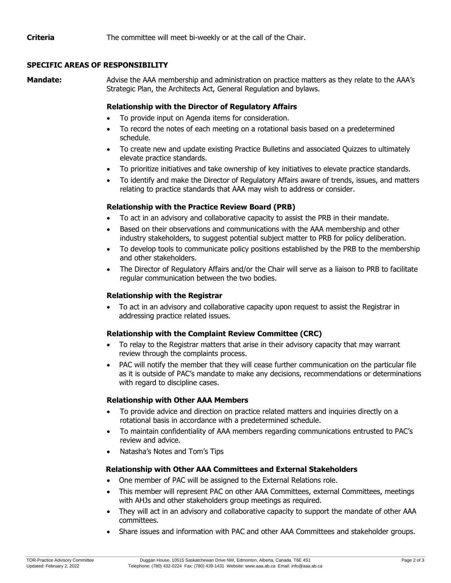**Criteria** The committee will meet bi-weekly or at the call of the Chair.

# **SPECIFIC AREAS OF RESPONSIBILITY**

**Mandate:** Advise the AAA membership and administration on practice matters as they relate to the AAA's Strategic Plan, the Architects Act, General Regulation and bylaws.

# **Relationship with the Director of Regulatory Affairs**

- To provide input on Agenda items for consideration.
- To record the notes of each meeting on a rotational basis based on a predetermined schedule.
- To create new and update existing Practice Bulletins and associated Quizzes to ultimately elevate practice standards.
- To prioritize initiatives and take ownership of key initiatives to elevate practice standards.
- To identify and make the Director of Regulatory Affairs aware of trends, issues, and matters relating to practice standards that AAA may wish to address or consider.

# **Relationship with the Practice Review Board (PRB)**

- To act in an advisory and collaborative capacity to assist the PRB in their mandate.
- Based on their observations and communications with the AAA membership and other industry stakeholders, to suggest potential subject matter to PRB for policy deliberation.
- To develop tools to communicate policy positions established by the PRB to the membership and other stakeholders.
- The Director of Regulatory Affairs and/or the Chair will serve as a liaison to PRB to facilitate regular communication between the two bodies.

# **Relationship with the Registrar**

• To act in an advisory and collaborative capacity upon request to assist the Registrar in addressing practice related issues.

### **Relationship with the Complaint Review Committee (CRC)**

- To relay to the Registrar matters that arise in their advisory capacity that may warrant review through the complaints process.
- PAC will notify the member that they will cease further communication on the particular file as it is outside of PAC's mandate to make any decisions, recommendations or determinations with regard to discipline cases.

### **Relationship with Other AAA Members**

- To provide advice and direction on practice related matters and inquiries directly on a rotational basis in accordance with a predetermined schedule.
- To maintain confidentiality of AAA members regarding communications entrusted to PAC's review and advice.
- Natasha's Notes and Tom's Tips

### **Relationship with Other AAA Committees and External Stakeholders**

- One member of PAC will be assigned to the External Relations role.
- This member will represent PAC on other AAA Committees, external Committees, meetings with AHJs and other stakeholders group meetings as required.
- They will act in an advisory and collaborative capacity to support the mandate of other AAA committees.
- Share issues and information with PAC and other AAA Committees and stakeholder groups.